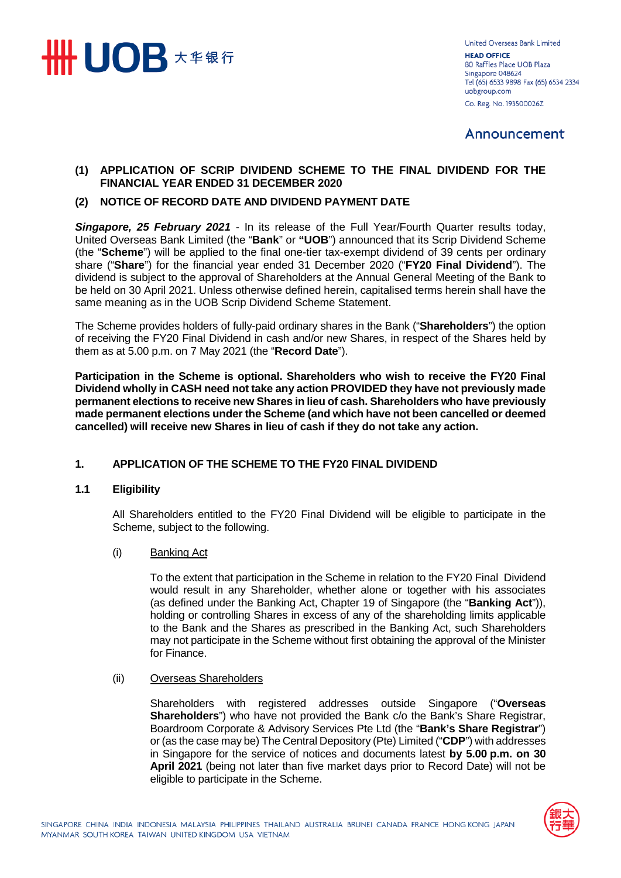

**United Overseas Bank Limited HEAD OFFICE** 80 Raffles Place UOB Plaza Singapore 048624 Tel (65) 6533 9898 Fax (65) 6534 2334 uobgroup.com Co. Reg. No. 193500026Z

# Announcement

# **(1) APPLICATION OF SCRIP DIVIDEND SCHEME TO THE FINAL DIVIDEND FOR THE FINANCIAL YEAR ENDED 31 DECEMBER 2020**

# **(2) NOTICE OF RECORD DATE AND DIVIDEND PAYMENT DATE**

*Singapore, 25 February 2021* - In its release of the Full Year/Fourth Quarter results today, United Overseas Bank Limited (the "**Bank**" or **"UOB**") announced that its Scrip Dividend Scheme (the "**Scheme**") will be applied to the final one-tier tax-exempt dividend of 39 cents per ordinary share ("**Share**") for the financial year ended 31 December 2020 ("**FY20 Final Dividend**"). The dividend is subject to the approval of Shareholders at the Annual General Meeting of the Bank to be held on 30 April 2021. Unless otherwise defined herein, capitalised terms herein shall have the same meaning as in the UOB Scrip Dividend Scheme Statement.

The Scheme provides holders of fully-paid ordinary shares in the Bank ("**Shareholders**") the option of receiving the FY20 Final Dividend in cash and/or new Shares, in respect of the Shares held by them as at 5.00 p.m. on 7 May 2021 (the "**Record Date**").

**Participation in the Scheme is optional. Shareholders who wish to receive the FY20 Final Dividend wholly in CASH need not take any action PROVIDED they have not previously made permanent elections to receive new Shares in lieu of cash. Shareholders who have previously made permanent elections under the Scheme (and which have not been cancelled or deemed cancelled) will receive new Shares in lieu of cash if they do not take any action.**

# **1. APPLICATION OF THE SCHEME TO THE FY20 FINAL DIVIDEND**

#### **1.1 Eligibility**

All Shareholders entitled to the FY20 Final Dividend will be eligible to participate in the Scheme, subject to the following.

(i) Banking Act

To the extent that participation in the Scheme in relation to the FY20 Final Dividend would result in any Shareholder, whether alone or together with his associates (as defined under the Banking Act, Chapter 19 of Singapore (the "**Banking Act**")), holding or controlling Shares in excess of any of the shareholding limits applicable to the Bank and the Shares as prescribed in the Banking Act, such Shareholders may not participate in the Scheme without first obtaining the approval of the Minister for Finance.

(ii) Overseas Shareholders

Shareholders with registered addresses outside Singapore ("**Overseas Shareholders**") who have not provided the Bank c/o the Bank's Share Registrar, Boardroom Corporate & Advisory Services Pte Ltd (the "**Bank's Share Registrar**") or (as the case may be) The Central Depository (Pte) Limited ("**CDP**") with addresses in Singapore for the service of notices and documents latest **by 5.00 p.m. on 30 April 2021** (being not later than five market days prior to Record Date) will not be eligible to participate in the Scheme.

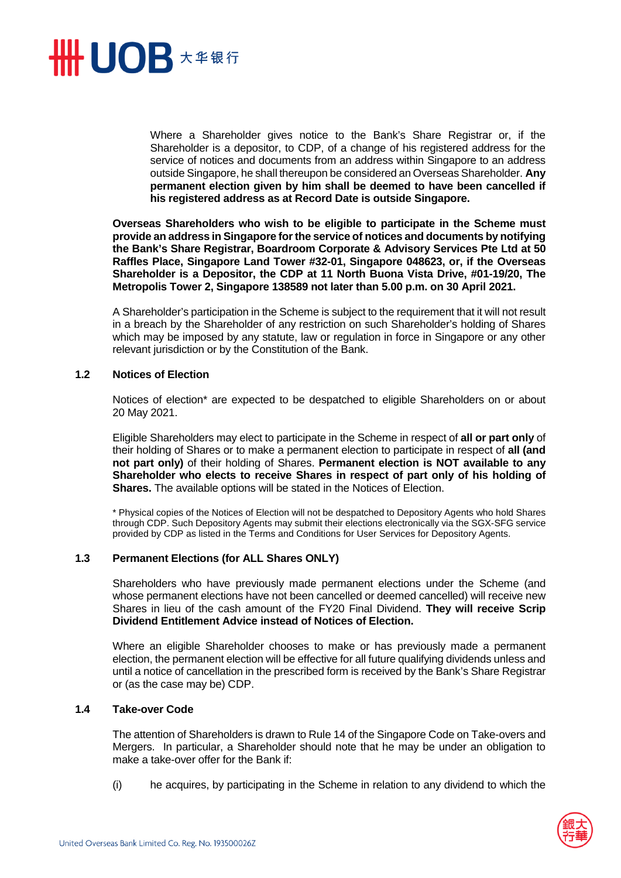

Where a Shareholder gives notice to the Bank's Share Registrar or, if the Shareholder is a depositor, to CDP, of a change of his registered address for the service of notices and documents from an address within Singapore to an address outside Singapore, he shall thereupon be considered an Overseas Shareholder. **Any permanent election given by him shall be deemed to have been cancelled if his registered address as at Record Date is outside Singapore.** 

**Overseas Shareholders who wish to be eligible to participate in the Scheme must provide an address in Singapore for the service of notices and documents by notifying the Bank's Share Registrar, Boardroom Corporate & Advisory Services Pte Ltd at 50 Raffles Place, Singapore Land Tower #32-01, Singapore 048623, or, if the Overseas Shareholder is a Depositor, the CDP at 11 North Buona Vista Drive, #01-19/20, The Metropolis Tower 2, Singapore 138589 not later than 5.00 p.m. on 30 April 2021.** 

A Shareholder's participation in the Scheme is subject to the requirement that it will not result in a breach by the Shareholder of any restriction on such Shareholder's holding of Shares which may be imposed by any statute, law or regulation in force in Singapore or any other relevant jurisdiction or by the Constitution of the Bank.

#### **1.2 Notices of Election**

Notices of election\* are expected to be despatched to eligible Shareholders on or about 20 May 2021.

Eligible Shareholders may elect to participate in the Scheme in respect of **all or part only** of their holding of Shares or to make a permanent election to participate in respect of **all (and not part only)** of their holding of Shares. **Permanent election is NOT available to any Shareholder who elects to receive Shares in respect of part only of his holding of Shares.** The available options will be stated in the Notices of Election.

\* Physical copies of the Notices of Election will not be despatched to Depository Agents who hold Shares through CDP. Such Depository Agents may submit their elections electronically via the SGX-SFG service provided by CDP as listed in the Terms and Conditions for User Services for Depository Agents.

# **1.3 Permanent Elections (for ALL Shares ONLY)**

Shareholders who have previously made permanent elections under the Scheme (and whose permanent elections have not been cancelled or deemed cancelled) will receive new Shares in lieu of the cash amount of the FY20 Final Dividend. **They will receive Scrip Dividend Entitlement Advice instead of Notices of Election.** 

Where an eligible Shareholder chooses to make or has previously made a permanent election, the permanent election will be effective for all future qualifying dividends unless and until a notice of cancellation in the prescribed form is received by the Bank's Share Registrar or (as the case may be) CDP.

#### **1.4 Take-over Code**

The attention of Shareholders is drawn to Rule 14 of the Singapore Code on Take-overs and Mergers. In particular, a Shareholder should note that he may be under an obligation to make a take-over offer for the Bank if:

(i) he acquires, by participating in the Scheme in relation to any dividend to which the

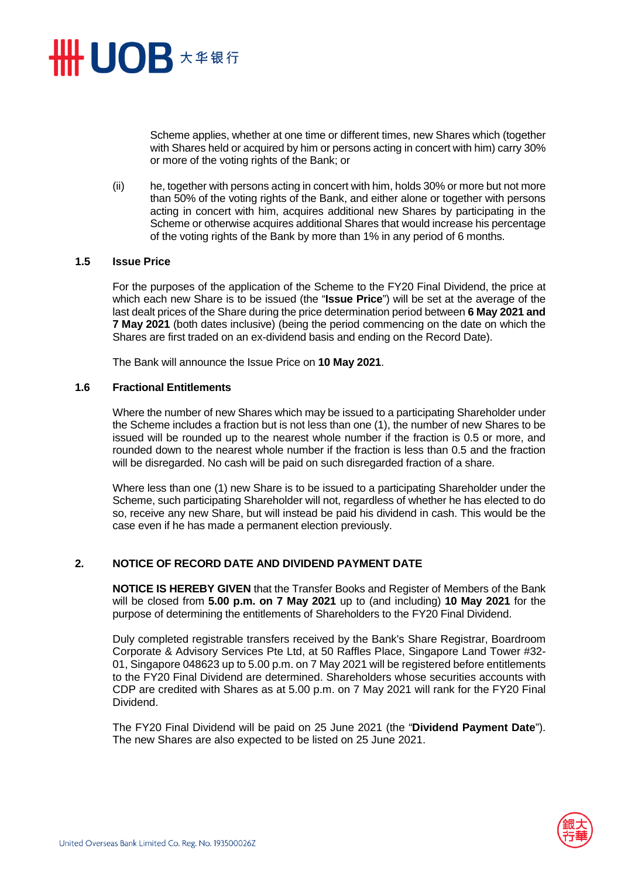

Scheme applies, whether at one time or different times, new Shares which (together with Shares held or acquired by him or persons acting in concert with him) carry 30% or more of the voting rights of the Bank; or

(ii) he, together with persons acting in concert with him, holds 30% or more but not more than 50% of the voting rights of the Bank, and either alone or together with persons acting in concert with him, acquires additional new Shares by participating in the Scheme or otherwise acquires additional Shares that would increase his percentage of the voting rights of the Bank by more than 1% in any period of 6 months.

### **1.5 Issue Price**

For the purposes of the application of the Scheme to the FY20 Final Dividend, the price at which each new Share is to be issued (the "**Issue Price**") will be set at the average of the last dealt prices of the Share during the price determination period between **6 May 2021 and 7 May 2021** (both dates inclusive) (being the period commencing on the date on which the Shares are first traded on an ex-dividend basis and ending on the Record Date).

The Bank will announce the Issue Price on **10 May 2021**.

### **1.6 Fractional Entitlements**

Where the number of new Shares which may be issued to a participating Shareholder under the Scheme includes a fraction but is not less than one (1), the number of new Shares to be issued will be rounded up to the nearest whole number if the fraction is 0.5 or more, and rounded down to the nearest whole number if the fraction is less than 0.5 and the fraction will be disregarded. No cash will be paid on such disregarded fraction of a share.

Where less than one (1) new Share is to be issued to a participating Shareholder under the Scheme, such participating Shareholder will not, regardless of whether he has elected to do so, receive any new Share, but will instead be paid his dividend in cash. This would be the case even if he has made a permanent election previously.

# **2. NOTICE OF RECORD DATE AND DIVIDEND PAYMENT DATE**

**NOTICE IS HEREBY GIVEN** that the Transfer Books and Register of Members of the Bank will be closed from **5.00 p.m. on 7 May 2021** up to (and including) **10 May 2021** for the purpose of determining the entitlements of Shareholders to the FY20 Final Dividend.

Duly completed registrable transfers received by the Bank's Share Registrar, Boardroom Corporate & Advisory Services Pte Ltd, at 50 Raffles Place, Singapore Land Tower #32- 01, Singapore 048623 up to 5.00 p.m. on 7 May 2021 will be registered before entitlements to the FY20 Final Dividend are determined. Shareholders whose securities accounts with CDP are credited with Shares as at 5.00 p.m. on 7 May 2021 will rank for the FY20 Final Dividend.

The FY20 Final Dividend will be paid on 25 June 2021 (the "**Dividend Payment Date**"). The new Shares are also expected to be listed on 25 June 2021.